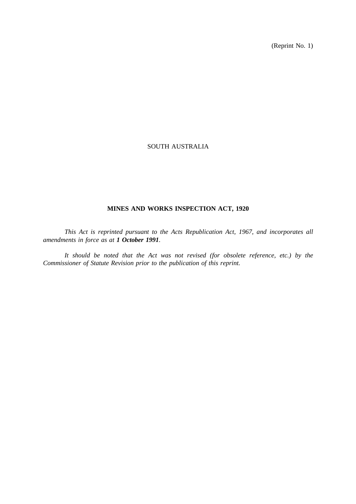(Reprint No. 1)

# SOUTH AUSTRALIA

# **MINES AND WORKS INSPECTION ACT, 1920**

*This Act is reprinted pursuant to the Acts Republication Act, 1967, and incorporates all amendments in force as at 1 October 1991.*

*It should be noted that the Act was not revised (for obsolete reference, etc.) by the Commissioner of Statute Revision prior to the publication of this reprint.*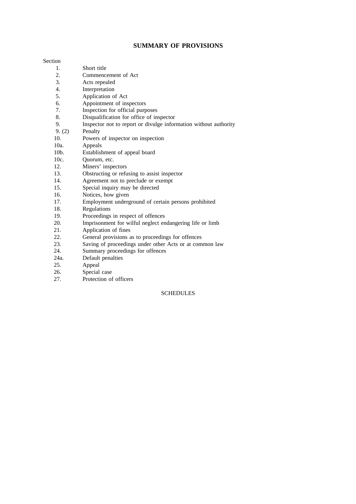# **SUMMARY OF PROVISIONS**

#### Section

- 1. Short title
- 2. Commencement of Act
- 3. Acts repealed
- 4. Interpretation
- 5. Application of Act
- 6. Appointment of inspectors<br>7. Inspection for official purp
- Inspection for official purposes
- 8. Disqualification for office of inspector
- 9. Inspector not to report or divulge information without authority
- 9. (2) Penalty
- 10. Powers of inspector on inspection
- 10a. Appeals
- 10b. Establishment of appeal board
- 10c. Quorum, etc.
- 12. Miners' inspectors<br>13. Obstructing or refu
- 13. Obstructing or refusing to assist inspector<br>14. Agreement not to preclude or exempt
- Agreement not to preclude or exempt
- 15. Special inquiry may be directed
- 16. Notices, how given
- 17. Employment underground of certain persons prohibited
- 18. Regulations
- 19. Proceedings in respect of offences<br>20. Imprisonment for wilful neglect en
- Imprisonment for wilful neglect endangering life or limb
- 21. Application of fines
- 22. General provisions as to proceedings for offences
- 23. Saving of proceedings under other Acts or at common law
- 24. Summary proceedings for offences
- 24a. Default penalties<br>25. Appeal
- Appeal
- 26. Special case
- 27. Protection of officers

# **SCHEDULES**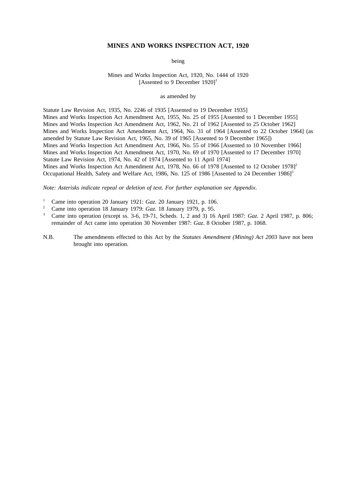### **MINES AND WORKS INSPECTION ACT, 1920**

being

## Mines and Works Inspection Act, 1920, No. 1444 of 1920 [Assented to 9 December  $1920$ ]<sup>1</sup>

## as amended by

Statute Law Revision Act, 1935, No. 2246 of 1935 [Assented to 19 December 1935] Mines and Works Inspection Act Amendment Act, 1955, No. 25 of 1955 [Assented to 1 December 1955] Mines and Works Inspection Act Amendment Act, 1962, No. 21 of 1962 [Assented to 25 October 1962] Mines and Works Inspection Act Amendment Act, 1964, No. 31 of 1964 [Assented to 22 October 1964] (as amended by Statute Law Revision Act, 1965, No. 39 of 1965 [Assented to 9 December 1965]) Mines and Works Inspection Act Amendment Act, 1966, No. 55 of 1966 [Assented to 10 November 1966] Mines and Works Inspection Act Amendment Act, 1970, No. 69 of 1970 [Assented to 17 December 1970] Statute Law Revision Act, 1974, No. 42 of 1974 [Assented to 11 April 1974] Mines and Works Inspection Act Amendment Act, 1978, No. 66 of 1978 [Assented to 12 October 1978]<sup>2</sup> Occupational Health, Safety and Welfare Act, 1986, No. 125 of 1986 [Assented to 24 December 1986]<sup>3</sup>

*Note: Asterisks indicate repeal or deletion of text. For further explanation see Appendix*.

- <sup>1</sup> Came into operation 20 January 1921: *Gaz*. 20 January 1921, p. 106.
- <sup>2</sup> Came into operation 18 January 1979: *Gaz*. 18 January 1979, p. 95.<br><sup>3</sup> Came into operation (greater  $\frac{2}{5}$ , 10.71, Schoda, 1, 2 and 2), 16
- <sup>3</sup> Came into operation (except ss. 3-6, 19-71, Scheds. 1, 2 and 3) 16 April 1987: *Gaz*. 2 April 1987, p. 806; remainder of Act came into operation 30 November 1987: *Gaz*. 8 October 1987, p. 1068.
- N.B. The amendments effected to this Act by the *Statutes Amendment (Mining) Act 2003* have not been brought into operation.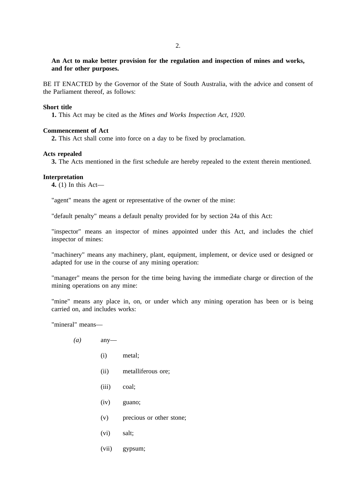# **An Act to make better provision for the regulation and inspection of mines and works, and for other purposes.**

BE IT ENACTED by the Governor of the State of South Australia, with the advice and consent of the Parliament thereof, as follows:

### **Short title**

**1.** This Act may be cited as the *Mines and Works Inspection Act, 1920*.

## **Commencement of Act**

**2.** This Act shall come into force on a day to be fixed by proclamation.

### **Acts repealed**

**3.** The Acts mentioned in the first schedule are hereby repealed to the extent therein mentioned.

## **Interpretation**

**4.** (1) In this Act—

"agent" means the agent or representative of the owner of the mine:

"default penalty" means a default penalty provided for by section 24a of this Act:

"inspector" means an inspector of mines appointed under this Act, and includes the chief inspector of mines:

"machinery" means any machinery, plant, equipment, implement, or device used or designed or adapted for use in the course of any mining operation:

"manager" means the person for the time being having the immediate charge or direction of the mining operations on any mine:

"mine" means any place in, on, or under which any mining operation has been or is being carried on, and includes works:

"mineral" means—

- *(a)* any—
	- (i) metal;
	- (ii) metalliferous ore;
	- (iii) coal;
	- (iv) guano;
	- (v) precious or other stone;
	- (vi) salt;
	- (vii) gypsum;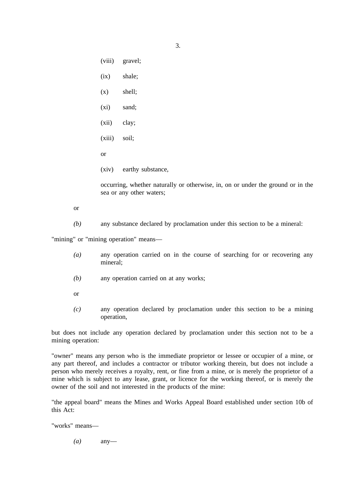(viii) gravel; (ix) shale; (x) shell; (xi) sand; (xii) clay; (xiii) soil; or (xiv) earthy substance,

occurring, whether naturally or otherwise, in, on or under the ground or in the sea or any other waters;

or

*(b)* any substance declared by proclamation under this section to be a mineral:

"mining" or "mining operation" means—

- *(a)* any operation carried on in the course of searching for or recovering any mineral;
- *(b)* any operation carried on at any works;
- or
- *(c)* any operation declared by proclamation under this section to be a mining operation,

but does not include any operation declared by proclamation under this section not to be a mining operation:

"owner" means any person who is the immediate proprietor or lessee or occupier of a mine, or any part thereof, and includes a contractor or tributor working therein, but does not include a person who merely receives a royalty, rent, or fine from a mine, or is merely the proprietor of a mine which is subject to any lease, grant, or licence for the working thereof, or is merely the owner of the soil and not interested in the products of the mine:

"the appeal board" means the Mines and Works Appeal Board established under section 10b of this Act:

"works" means—

*(a)* any—

3.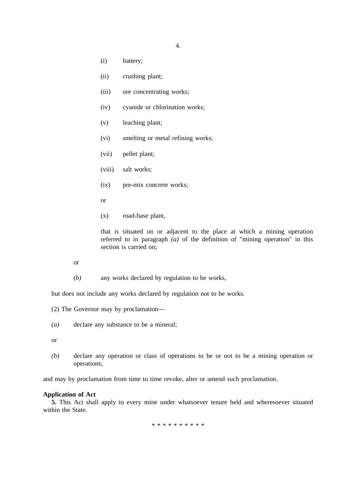4.

- (i) battery;
- (ii) crushing plant;
- (iii) ore concentrating works;
- (iv) cyanide or chlorination works;
- (v) leaching plant;
- (vi) smelting or metal refining works;
- (vii) pellet plant;
- (viii) salt works;
- (ix) pre-mix concrete works;
- or
- (x) road-base plant,

that is situated on or adjacent to the place at which a mining operation referred to in paragraph *(a)* of the definition of "mining operation" in this section is carried on:

or

*(b)* any works declared by regulation to be works,

but does not include any works declared by regulation not to be works.

- (2) The Governor may by proclamation—
- *(a)* declare any substance to be a mineral;

or

*(b)* declare any operation or class of operations to be or not to be a mining operation or operations;

and may by proclamation from time to time revoke, alter or amend such proclamation.

## **Application of Act**

**5.** This Act shall apply to every mine under whatsoever tenure held and wheresoever situated within the State.

\*\*\*\*\*\*\*\*\*\*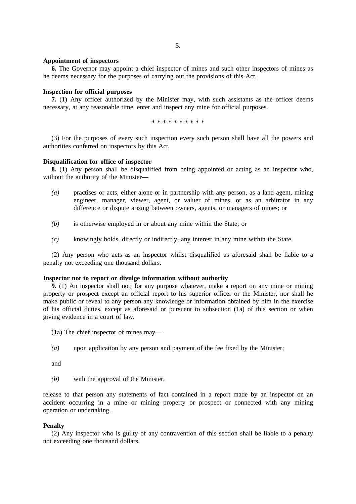## **Appointment of inspectors**

**6.** The Governor may appoint a chief inspector of mines and such other inspectors of mines as he deems necessary for the purposes of carrying out the provisions of this Act.

# **Inspection for official purposes**

**7.** (1) Any officer authorized by the Minister may, with such assistants as the officer deems necessary, at any reasonable time, enter and inspect any mine for official purposes.

\*\*\*\*\*\*\*\*\*\*

(3) For the purposes of every such inspection every such person shall have all the powers and authorities conferred on inspectors by this Act.

## **Disqualification for office of inspector**

**8.** (1) Any person shall be disqualified from being appointed or acting as an inspector who, without the authority of the Minister—

- *(a)* practises or acts, either alone or in partnership with any person, as a land agent, mining engineer, manager, viewer, agent, or valuer of mines, or as an arbitrator in any difference or dispute arising between owners, agents, or managers of mines; or
- *(b)* is otherwise employed in or about any mine within the State; or
- *(c)* knowingly holds, directly or indirectly, any interest in any mine within the State.

(2) Any person who acts as an inspector whilst disqualified as aforesaid shall be liable to a penalty not exceeding one thousand dollars.

## **Inspector not to report or divulge information without authority**

**9.** (1) An inspector shall not, for any purpose whatever, make a report on any mine or mining property or prospect except an official report to his superior officer or the Minister, nor shall he make public or reveal to any person any knowledge or information obtained by him in the exercise of his official duties, except as aforesaid or pursuant to subsection (1a) of this section or when giving evidence in a court of law.

- (1a) The chief inspector of mines may—
- *(a)* upon application by any person and payment of the fee fixed by the Minister;

and

*(b)* with the approval of the Minister,

release to that person any statements of fact contained in a report made by an inspector on an accident occurring in a mine or mining property or prospect or connected with any mining operation or undertaking.

### **Penalty**

(2) Any inspector who is guilty of any contravention of this section shall be liable to a penalty not exceeding one thousand dollars.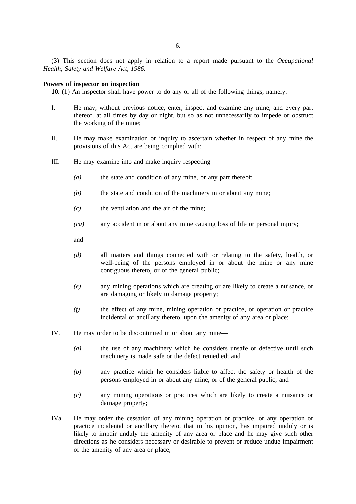(3) This section does not apply in relation to a report made pursuant to the *Occupational Health, Safety and Welfare Act, 1986*.

### **Powers of inspector on inspection**

**10.** (1) An inspector shall have power to do any or all of the following things, namely:—

- I. He may, without previous notice, enter, inspect and examine any mine, and every part thereof, at all times by day or night, but so as not unnecessarily to impede or obstruct the working of the mine;
- II. He may make examination or inquiry to ascertain whether in respect of any mine the provisions of this Act are being complied with;
- III. He may examine into and make inquiry respecting—
	- *(a)* the state and condition of any mine, or any part thereof;
	- *(b)* the state and condition of the machinery in or about any mine;
	- *(c)* the ventilation and the air of the mine;
	- *(ca)* any accident in or about any mine causing loss of life or personal injury;
	- and
	- *(d)* all matters and things connected with or relating to the safety, health, or well-being of the persons employed in or about the mine or any mine contiguous thereto, or of the general public;
	- *(e)* any mining operations which are creating or are likely to create a nuisance, or are damaging or likely to damage property;
	- *(f)* the effect of any mine, mining operation or practice, or operation or practice incidental or ancillary thereto, upon the amenity of any area or place;
- IV. He may order to be discontinued in or about any mine—
	- *(a)* the use of any machinery which he considers unsafe or defective until such machinery is made safe or the defect remedied; and
	- *(b)* any practice which he considers liable to affect the safety or health of the persons employed in or about any mine, or of the general public; and
	- *(c)* any mining operations or practices which are likely to create a nuisance or damage property;
- IVa. He may order the cessation of any mining operation or practice, or any operation or practice incidental or ancillary thereto, that in his opinion, has impaired unduly or is likely to impair unduly the amenity of any area or place and he may give such other directions as he considers necessary or desirable to prevent or reduce undue impairment of the amenity of any area or place;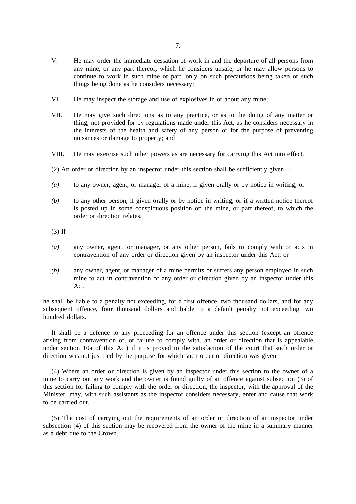- V. He may order the immediate cessation of work in and the departure of all persons from any mine, or any part thereof, which he considers unsafe, or he may allow persons to continue to work in such mine or part, only on such precautions being taken or such things being done as he considers necessary;
- VI. He may inspect the storage and use of explosives in or about any mine;
- VII. He may give such directions as to any practice, or as to the doing of any matter or thing, not provided for by regulations made under this Act, as he considers necessary in the interests of the health and safety of any person or for the purpose of preventing nuisances or damage to property; and
- VIII. He may exercise such other powers as are necessary for carrying this Act into effect.

(2) An order or direction by an inspector under this section shall be sufficiently given—

- *(a)* to any owner, agent, or manager of a mine, if given orally or by notice in writing; or
- *(b)* to any other person, if given orally or by notice in writing, or if a written notice thereof is posted up in some conspicuous position on the mine, or part thereof, to which the order or direction relates.
- $(3)$  If—
- *(a)* any owner, agent, or manager, or any other person, fails to comply with or acts in contravention of any order or direction given by an inspector under this Act; or
- *(b)* any owner, agent, or manager of a mine permits or suffers any person employed in such mine to act in contravention of any order or direction given by an inspector under this Act

he shall be liable to a penalty not exceeding, for a first offence, two thousand dollars, and for any subsequent offence, four thousand dollars and liable to a default penalty not exceeding two hundred dollars.

It shall be a defence to any proceeding for an offence under this section (except an offence arising from contravention of, or failure to comply with, an order or direction that is appealable under section 10a of this Act) if it is proved to the satisfaction of the court that such order or direction was not justified by the purpose for which such order or direction was given.

(4) Where an order or direction is given by an inspector under this section to the owner of a mine to carry out any work and the owner is found guilty of an offence against subsection (3) of this section for failing to comply with the order or direction, the inspector, with the approval of the Minister, may, with such assistants as the inspector considers necessary, enter and cause that work to be carried out.

(5) The cost of carrying out the requirements of an order or direction of an inspector under subsection (4) of this section may be recovered from the owner of the mine in a summary manner as a debt due to the Crown.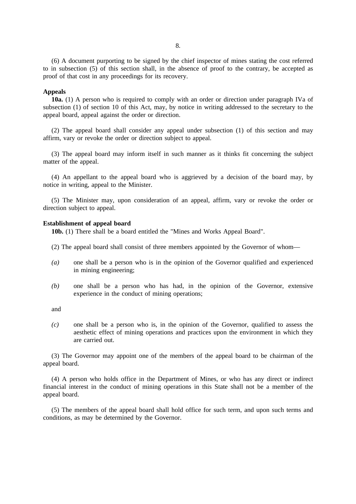(6) A document purporting to be signed by the chief inspector of mines stating the cost referred to in subsection (5) of this section shall, in the absence of proof to the contrary, be accepted as proof of that cost in any proceedings for its recovery.

## **Appeals**

**10a.** (1) A person who is required to comply with an order or direction under paragraph IVa of subsection (1) of section 10 of this Act, may, by notice in writing addressed to the secretary to the appeal board, appeal against the order or direction.

(2) The appeal board shall consider any appeal under subsection (1) of this section and may affirm, vary or revoke the order or direction subject to appeal.

(3) The appeal board may inform itself in such manner as it thinks fit concerning the subject matter of the appeal.

(4) An appellant to the appeal board who is aggrieved by a decision of the board may, by notice in writing, appeal to the Minister.

(5) The Minister may, upon consideration of an appeal, affirm, vary or revoke the order or direction subject to appeal.

### **Establishment of appeal board**

**10b.** (1) There shall be a board entitled the "Mines and Works Appeal Board".

- (2) The appeal board shall consist of three members appointed by the Governor of whom—
- *(a)* one shall be a person who is in the opinion of the Governor qualified and experienced in mining engineering;
- *(b)* one shall be a person who has had, in the opinion of the Governor, extensive experience in the conduct of mining operations;

and

*(c)* one shall be a person who is, in the opinion of the Governor, qualified to assess the aesthetic effect of mining operations and practices upon the environment in which they are carried out.

(3) The Governor may appoint one of the members of the appeal board to be chairman of the appeal board.

(4) A person who holds office in the Department of Mines, or who has any direct or indirect financial interest in the conduct of mining operations in this State shall not be a member of the appeal board.

(5) The members of the appeal board shall hold office for such term, and upon such terms and conditions, as may be determined by the Governor.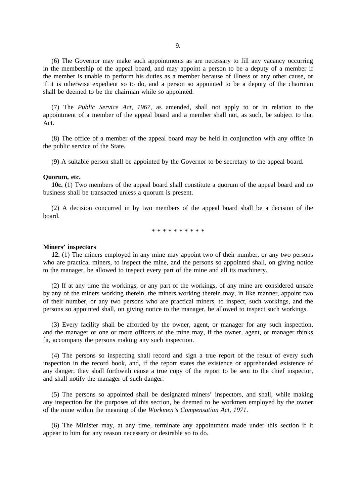(6) The Governor may make such appointments as are necessary to fill any vacancy occurring in the membership of the appeal board, and may appoint a person to be a deputy of a member if the member is unable to perform his duties as a member because of illness or any other cause, or if it is otherwise expedient so to do, and a person so appointed to be a deputy of the chairman shall be deemed to be the chairman while so appointed.

(7) The *Public Service Act, 1967*, as amended, shall not apply to or in relation to the appointment of a member of the appeal board and a member shall not, as such, be subject to that Act.

(8) The office of a member of the appeal board may be held in conjunction with any office in the public service of the State.

(9) A suitable person shall be appointed by the Governor to be secretary to the appeal board.

### **Quorum, etc.**

**10c.** (1) Two members of the appeal board shall constitute a quorum of the appeal board and no business shall be transacted unless a quorum is present.

(2) A decision concurred in by two members of the appeal board shall be a decision of the board.

\*\*\*\*\*\*\*\*\*\*

### **Miners' inspectors**

**12.** (1) The miners employed in any mine may appoint two of their number, or any two persons who are practical miners, to inspect the mine, and the persons so appointed shall, on giving notice to the manager, be allowed to inspect every part of the mine and all its machinery.

(2) If at any time the workings, or any part of the workings, of any mine are considered unsafe by any of the miners working therein, the miners working therein may, in like manner, appoint two of their number, or any two persons who are practical miners, to inspect, such workings, and the persons so appointed shall, on giving notice to the manager, be allowed to inspect such workings.

(3) Every facility shall be afforded by the owner, agent, or manager for any such inspection, and the manager or one or more officers of the mine may, if the owner, agent, or manager thinks fit, accompany the persons making any such inspection.

(4) The persons so inspecting shall record and sign a true report of the result of every such inspection in the record book, and, if the report states the existence or apprehended existence of any danger, they shall forthwith cause a true copy of the report to be sent to the chief inspector, and shall notify the manager of such danger.

(5) The persons so appointed shall be designated miners' inspectors, and shall, while making any inspection for the purposes of this section, be deemed to be workmen employed by the owner of the mine within the meaning of the *Workmen's Compensation Act, 1971*.

(6) The Minister may, at any time, terminate any appointment made under this section if it appear to him for any reason necessary or desirable so to do.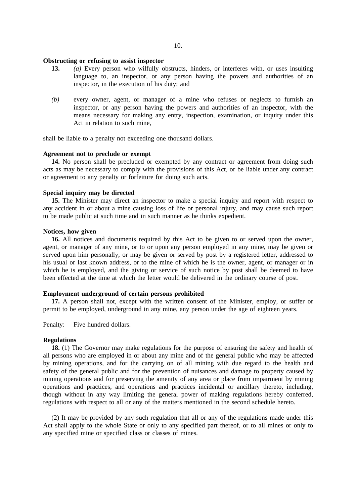## **Obstructing or refusing to assist inspector**

- **13.** *(a)* Every person who wilfully obstructs, hinders, or interferes with, or uses insulting language to, an inspector, or any person having the powers and authorities of an inspector, in the execution of his duty; and
- *(b)* every owner, agent, or manager of a mine who refuses or neglects to furnish an inspector, or any person having the powers and authorities of an inspector, with the means necessary for making any entry, inspection, examination, or inquiry under this Act in relation to such mine,

shall be liable to a penalty not exceeding one thousand dollars.

# **Agreement not to preclude or exempt**

**14.** No person shall be precluded or exempted by any contract or agreement from doing such acts as may be necessary to comply with the provisions of this Act, or be liable under any contract or agreement to any penalty or forfeiture for doing such acts.

# **Special inquiry may be directed**

**15.** The Minister may direct an inspector to make a special inquiry and report with respect to any accident in or about a mine causing loss of life or personal injury, and may cause such report to be made public at such time and in such manner as he thinks expedient.

### **Notices, how given**

**16.** All notices and documents required by this Act to be given to or served upon the owner, agent, or manager of any mine, or to or upon any person employed in any mine, may be given or served upon him personally, or may be given or served by post by a registered letter, addressed to his usual or last known address, or to the mine of which he is the owner, agent, or manager or in which he is employed, and the giving or service of such notice by post shall be deemed to have been effected at the time at which the letter would be delivered in the ordinary course of post.

## **Employment underground of certain persons prohibited**

**17.** A person shall not, except with the written consent of the Minister, employ, or suffer or permit to be employed, underground in any mine, any person under the age of eighteen years.

Penalty: Five hundred dollars.

# **Regulations**

**18.** (1) The Governor may make regulations for the purpose of ensuring the safety and health of all persons who are employed in or about any mine and of the general public who may be affected by mining operations, and for the carrying on of all mining with due regard to the health and safety of the general public and for the prevention of nuisances and damage to property caused by mining operations and for preserving the amenity of any area or place from impairment by mining operations and practices, and operations and practices incidental or ancillary thereto, including, though without in any way limiting the general power of making regulations hereby conferred, regulations with respect to all or any of the matters mentioned in the second schedule hereto.

(2) It may be provided by any such regulation that all or any of the regulations made under this Act shall apply to the whole State or only to any specified part thereof, or to all mines or only to any specified mine or specified class or classes of mines.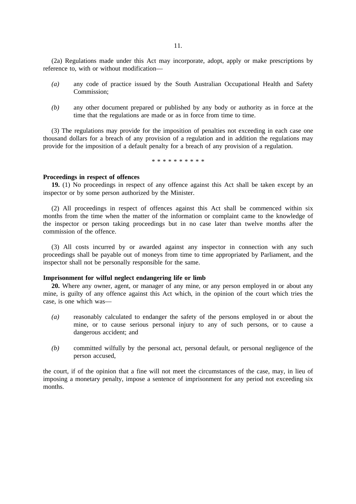(2a) Regulations made under this Act may incorporate, adopt, apply or make prescriptions by reference to, with or without modification—

- *(a)* any code of practice issued by the South Australian Occupational Health and Safety Commission;
- *(b)* any other document prepared or published by any body or authority as in force at the time that the regulations are made or as in force from time to time.

(3) The regulations may provide for the imposition of penalties not exceeding in each case one thousand dollars for a breach of any provision of a regulation and in addition the regulations may provide for the imposition of a default penalty for a breach of any provision of a regulation.

\*\*\*\*\*\*\*\*\*\*

## **Proceedings in respect of offences**

**19.** (1) No proceedings in respect of any offence against this Act shall be taken except by an inspector or by some person authorized by the Minister.

(2) All proceedings in respect of offences against this Act shall be commenced within six months from the time when the matter of the information or complaint came to the knowledge of the inspector or person taking proceedings but in no case later than twelve months after the commission of the offence.

(3) All costs incurred by or awarded against any inspector in connection with any such proceedings shall be payable out of moneys from time to time appropriated by Parliament, and the inspector shall not be personally responsible for the same.

# **Imprisonment for wilful neglect endangering life or limb**

**20.** Where any owner, agent, or manager of any mine, or any person employed in or about any mine, is guilty of any offence against this Act which, in the opinion of the court which tries the case, is one which was—

- *(a)* reasonably calculated to endanger the safety of the persons employed in or about the mine, or to cause serious personal injury to any of such persons, or to cause a dangerous accident; and
- *(b)* committed wilfully by the personal act, personal default, or personal negligence of the person accused,

the court, if of the opinion that a fine will not meet the circumstances of the case, may, in lieu of imposing a monetary penalty, impose a sentence of imprisonment for any period not exceeding six months.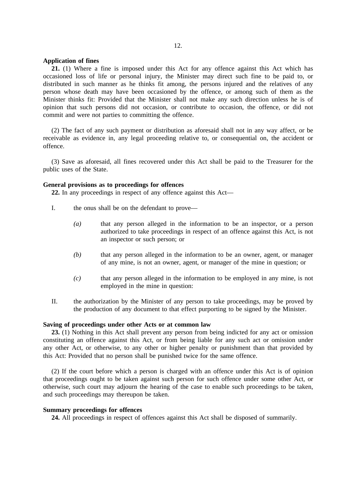### **Application of fines**

**21.** (1) Where a fine is imposed under this Act for any offence against this Act which has occasioned loss of life or personal injury, the Minister may direct such fine to be paid to, or distributed in such manner as he thinks fit among, the persons injured and the relatives of any person whose death may have been occasioned by the offence, or among such of them as the Minister thinks fit: Provided that the Minister shall not make any such direction unless he is of opinion that such persons did not occasion, or contribute to occasion, the offence, or did not commit and were not parties to committing the offence.

(2) The fact of any such payment or distribution as aforesaid shall not in any way affect, or be receivable as evidence in, any legal proceeding relative to, or consequential on, the accident or offence.

(3) Save as aforesaid, all fines recovered under this Act shall be paid to the Treasurer for the public uses of the State.

### **General provisions as to proceedings for offences**

**22.** In any proceedings in respect of any offence against this Act—

- I. the onus shall be on the defendant to prove—
	- *(a)* that any person alleged in the information to be an inspector, or a person authorized to take proceedings in respect of an offence against this Act, is not an inspector or such person; or
	- *(b)* that any person alleged in the information to be an owner, agent, or manager of any mine, is not an owner, agent, or manager of the mine in question; or
	- *(c)* that any person alleged in the information to be employed in any mine, is not employed in the mine in question:
- II. the authorization by the Minister of any person to take proceedings, may be proved by the production of any document to that effect purporting to be signed by the Minister.

# **Saving of proceedings under other Acts or at common law**

**23.** (1) Nothing in this Act shall prevent any person from being indicted for any act or omission constituting an offence against this Act, or from being liable for any such act or omission under any other Act, or otherwise, to any other or higher penalty or punishment than that provided by this Act: Provided that no person shall be punished twice for the same offence.

(2) If the court before which a person is charged with an offence under this Act is of opinion that proceedings ought to be taken against such person for such offence under some other Act, or otherwise, such court may adjourn the hearing of the case to enable such proceedings to be taken, and such proceedings may thereupon be taken.

## **Summary proceedings for offences**

**24.** All proceedings in respect of offences against this Act shall be disposed of summarily.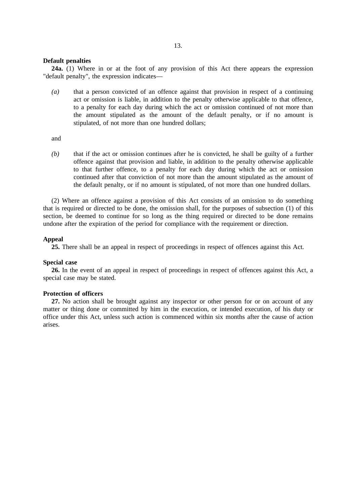## **Default penalties**

**24a.** (1) Where in or at the foot of any provision of this Act there appears the expression "default penalty", the expression indicates—

*(a)* that a person convicted of an offence against that provision in respect of a continuing act or omission is liable, in addition to the penalty otherwise applicable to that offence, to a penalty for each day during which the act or omission continued of not more than the amount stipulated as the amount of the default penalty, or if no amount is stipulated, of not more than one hundred dollars;

and

*(b)* that if the act or omission continues after he is convicted, he shall be guilty of a further offence against that provision and liable, in addition to the penalty otherwise applicable to that further offence, to a penalty for each day during which the act or omission continued after that conviction of not more than the amount stipulated as the amount of the default penalty, or if no amount is stipulated, of not more than one hundred dollars.

(2) Where an offence against a provision of this Act consists of an omission to do something that is required or directed to be done, the omission shall, for the purposes of subsection (1) of this section, be deemed to continue for so long as the thing required or directed to be done remains undone after the expiration of the period for compliance with the requirement or direction.

# **Appeal**

**25.** There shall be an appeal in respect of proceedings in respect of offences against this Act.

## **Special case**

**26.** In the event of an appeal in respect of proceedings in respect of offences against this Act, a special case may be stated.

## **Protection of officers**

**27.** No action shall be brought against any inspector or other person for or on account of any matter or thing done or committed by him in the execution, or intended execution, of his duty or office under this Act, unless such action is commenced within six months after the cause of action arises.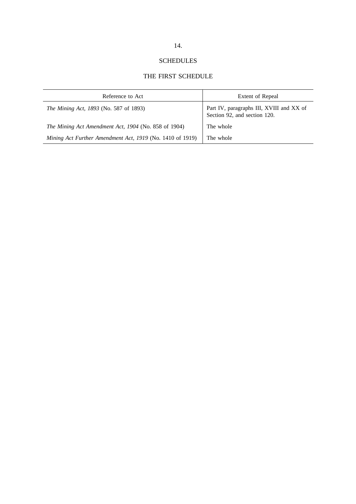# SCHEDULES

# THE FIRST SCHEDULE

| Reference to Act                                          | Extent of Repeal                                                         |
|-----------------------------------------------------------|--------------------------------------------------------------------------|
| The Mining Act, 1893 (No. 587 of 1893)                    | Part IV, paragraphs III, XVIII and XX of<br>Section 92, and section 120. |
| The Mining Act Amendment Act, 1904 (No. 858 of 1904)      | The whole                                                                |
| Mining Act Further Amendment Act, 1919 (No. 1410 of 1919) | The whole                                                                |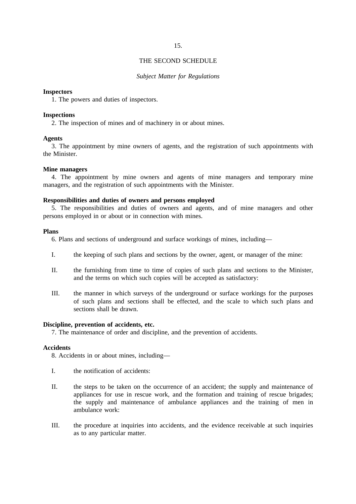## 15.

## THE SECOND SCHEDULE

## *Subject Matter for Regulations*

### **Inspectors**

1. The powers and duties of inspectors.

# **Inspections**

2. The inspection of mines and of machinery in or about mines.

## **Agents**

3. The appointment by mine owners of agents, and the registration of such appointments with the Minister.

### **Mine managers**

4. The appointment by mine owners and agents of mine managers and temporary mine managers, and the registration of such appointments with the Minister.

# **Responsibilities and duties of owners and persons employed**

5. The responsibilities and duties of owners and agents, and of mine managers and other persons employed in or about or in connection with mines.

### **Plans**

6. Plans and sections of underground and surface workings of mines, including—

- I. the keeping of such plans and sections by the owner, agent, or manager of the mine:
- II. the furnishing from time to time of copies of such plans and sections to the Minister, and the terms on which such copies will be accepted as satisfactory:
- III. the manner in which surveys of the underground or surface workings for the purposes of such plans and sections shall be effected, and the scale to which such plans and sections shall be drawn.

# **Discipline, prevention of accidents, etc.**

7. The maintenance of order and discipline, and the prevention of accidents.

## **Accidents**

8. Accidents in or about mines, including—

- I. the notification of accidents:
- II. the steps to be taken on the occurrence of an accident; the supply and maintenance of appliances for use in rescue work, and the formation and training of rescue brigades; the supply and maintenance of ambulance appliances and the training of men in ambulance work:
- III. the procedure at inquiries into accidents, and the evidence receivable at such inquiries as to any particular matter.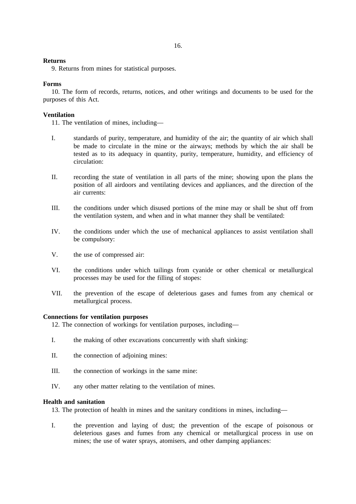# **Returns**

9. Returns from mines for statistical purposes.

# **Forms**

10. The form of records, returns, notices, and other writings and documents to be used for the purposes of this Act.

# **Ventilation**

11. The ventilation of mines, including—

- I. standards of purity, temperature, and humidity of the air; the quantity of air which shall be made to circulate in the mine or the airways; methods by which the air shall be tested as to its adequacy in quantity, purity, temperature, humidity, and efficiency of circulation:
- II. recording the state of ventilation in all parts of the mine; showing upon the plans the position of all airdoors and ventilating devices and appliances, and the direction of the air currents:
- III. the conditions under which disused portions of the mine may or shall be shut off from the ventilation system, and when and in what manner they shall be ventilated:
- IV. the conditions under which the use of mechanical appliances to assist ventilation shall be compulsory:
- V. the use of compressed air:
- VI. the conditions under which tailings from cyanide or other chemical or metallurgical processes may be used for the filling of stopes:
- VII. the prevention of the escape of deleterious gases and fumes from any chemical or metallurgical process.

## **Connections for ventilation purposes**

12. The connection of workings for ventilation purposes, including—

- I. the making of other excavations concurrently with shaft sinking:
- II. the connection of adjoining mines:
- III. the connection of workings in the same mine:
- IV. any other matter relating to the ventilation of mines.

# **Health and sanitation**

13. The protection of health in mines and the sanitary conditions in mines, including—

I. the prevention and laying of dust; the prevention of the escape of poisonous or deleterious gases and fumes from any chemical or metallurgical process in use on mines; the use of water sprays, atomisers, and other damping appliances: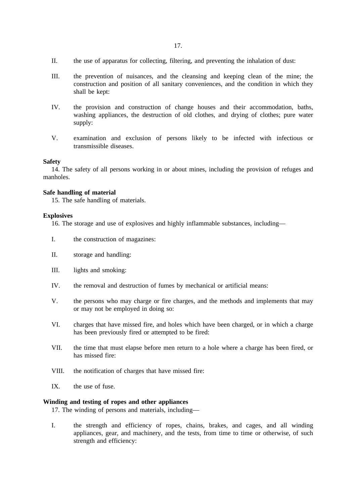- II. the use of apparatus for collecting, filtering, and preventing the inhalation of dust:
- III. the prevention of nuisances, and the cleansing and keeping clean of the mine; the construction and position of all sanitary conveniences, and the condition in which they shall be kept:
- IV. the provision and construction of change houses and their accommodation, baths, washing appliances, the destruction of old clothes, and drying of clothes; pure water supply:
- V. examination and exclusion of persons likely to be infected with infectious or transmissible diseases.

### **Safety**

14. The safety of all persons working in or about mines, including the provision of refuges and manholes.

# **Safe handling of material**

15. The safe handling of materials.

### **Explosives**

16. The storage and use of explosives and highly inflammable substances, including—

- I. the construction of magazines:
- II. storage and handling:
- III. lights and smoking:
- IV. the removal and destruction of fumes by mechanical or artificial means:
- V. the persons who may charge or fire charges, and the methods and implements that may or may not be employed in doing so:
- VI. charges that have missed fire, and holes which have been charged, or in which a charge has been previously fired or attempted to be fired:
- VII. the time that must elapse before men return to a hole where a charge has been fired, or has missed fire:
- VIII. the notification of charges that have missed fire:
- IX. the use of fuse.

# **Winding and testing of ropes and other appliances**

17. The winding of persons and materials, including—

I. the strength and efficiency of ropes, chains, brakes, and cages, and all winding appliances, gear, and machinery, and the tests, from time to time or otherwise, of such strength and efficiency: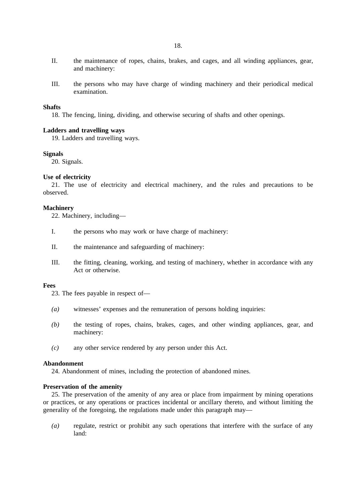- II. the maintenance of ropes, chains, brakes, and cages, and all winding appliances, gear, and machinery:
- III. the persons who may have charge of winding machinery and their periodical medical examination.

### **Shafts**

18. The fencing, lining, dividing, and otherwise securing of shafts and other openings.

## **Ladders and travelling ways**

19. Ladders and travelling ways.

# **Signals**

20. Signals.

## **Use of electricity**

21. The use of electricity and electrical machinery, and the rules and precautions to be observed.

### **Machinery**

22. Machinery, including—

- I. the persons who may work or have charge of machinery:
- II. the maintenance and safeguarding of machinery:
- III. the fitting, cleaning, working, and testing of machinery, whether in accordance with any Act or otherwise.

### **Fees**

23. The fees payable in respect of—

- *(a)* witnesses' expenses and the remuneration of persons holding inquiries:
- *(b)* the testing of ropes, chains, brakes, cages, and other winding appliances, gear, and machinery:
- *(c)* any other service rendered by any person under this Act.

# **Abandonment**

24. Abandonment of mines, including the protection of abandoned mines.

### **Preservation of the amenity**

25. The preservation of the amenity of any area or place from impairment by mining operations or practices, or any operations or practices incidental or ancillary thereto, and without limiting the generality of the foregoing, the regulations made under this paragraph may—

*(a)* regulate, restrict or prohibit any such operations that interfere with the surface of any land: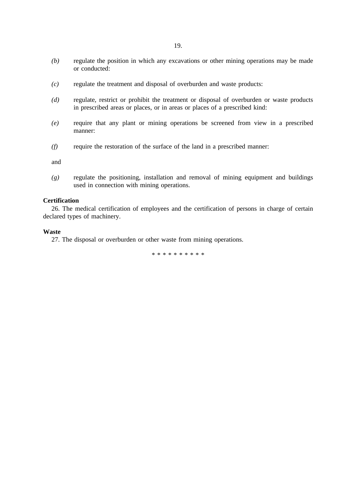- *(b)* regulate the position in which any excavations or other mining operations may be made or conducted:
- *(c)* regulate the treatment and disposal of overburden and waste products:
- *(d)* regulate, restrict or prohibit the treatment or disposal of overburden or waste products in prescribed areas or places, or in areas or places of a prescribed kind:
- *(e)* require that any plant or mining operations be screened from view in a prescribed manner:
- *(f)* require the restoration of the surface of the land in a prescribed manner:

and

*(g)* regulate the positioning, installation and removal of mining equipment and buildings used in connection with mining operations.

## **Certification**

26. The medical certification of employees and the certification of persons in charge of certain declared types of machinery.

### **Waste**

27. The disposal or overburden or other waste from mining operations.

\*\*\*\*\*\*\*\*\*\*